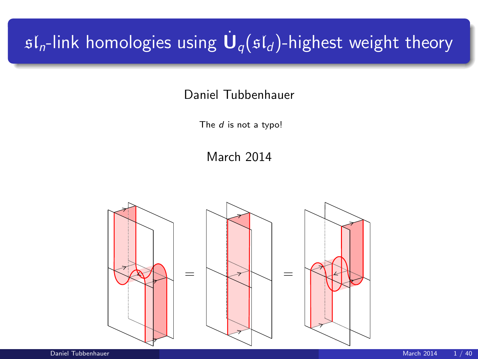# $\mathfrak{sl}_n$ -link homologies using  $\dot{\mathbf U}_q(\mathfrak{sl}_d)$ -highest weight theory

#### Daniel Tubbenhauer

The *d* is not a typo!

March 2014

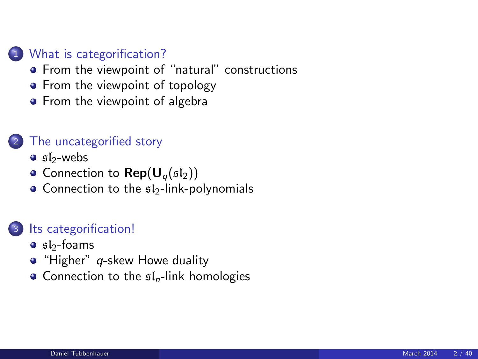#### 1 [What is categorification?](#page-2-0)

- **•** [From the viewpoint of "natural" constructions](#page-2-0)
- [From the viewpoint of topology](#page-5-0)
- [From the viewpoint of algebra](#page-7-0)

#### [The uncategorified story](#page-9-0)

- $\bullet$  sl<sub>2</sub>[-webs](#page-9-0)
- [Connection to](#page-15-0)  $\mathsf{Rep}(\mathsf{U}_q(\mathfrak{sl}_2))$
- $\bullet$  [Connection to the](#page-18-0)  $\mathfrak{sl}_2$ -link-polynomials

#### <sup>3</sup> [Its categorification!](#page-24-0)

- $\bullet$  sl<sub>2</sub>[-foams](#page-24-0)
- $\bullet$  "Higher" q[-skew Howe duality](#page-29-0)
- [Connection to the](#page-33-0)  $sI_n$ -link homologies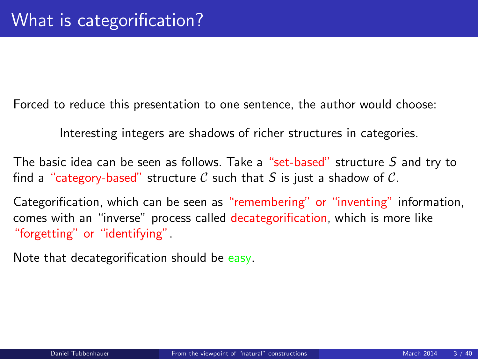Forced to reduce this presentation to one sentence, the author would choose:

Interesting integers are shadows of richer structures in categories.

The basic idea can be seen as follows. Take a "set-based" structure S and try to find a "category-based" structure C such that S is just a shadow of C.

Categorification, which can be seen as "remembering" or "inventing" information, comes with an "inverse" process called decategorification, which is more like "forgetting" or "identifying".

<span id="page-2-0"></span>Note that decategorification should be easy.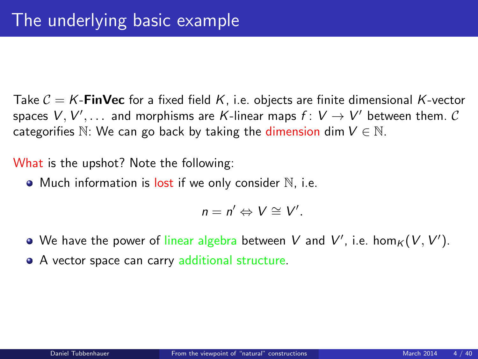Take  $C = K$ -**FinVec** for a fixed field K, i.e. objects are finite dimensional K-vector spaces  $V,V',\ldots$  and morphisms are  $K$ -linear maps  $f\colon V\to V'$  between them.  $\mathcal C$ categorifies N: We can go back by taking the dimension dim  $V \in N$ .

What is the upshot? Note the following:

 $\bullet$  Much information is lost if we only consider  $\mathbb N$ , i.e.

$$
n=n'\Leftrightarrow V\cong V'.
$$

- We have the power of linear algebra between  $V$  and  $V'$ , i.e.  $\hom_K(V,V')$ .
- A vector space can carry additional structure.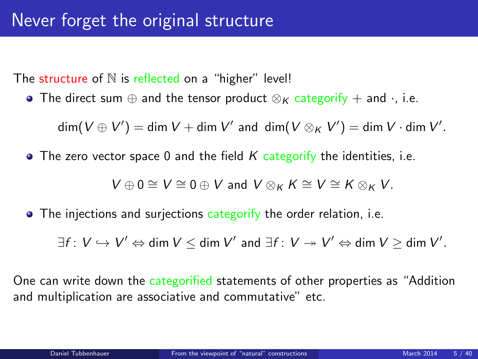The structure of  $N$  is reflected on a "higher" level!

• The direct sum  $\oplus$  and the tensor product  $\otimes_K$  categorify + and  $\cdot$ , i.e.

 $\dim(V\oplus V')=\dim V+\dim V'$  and  $\dim(V\otimes_K V')=\dim V\cdot \dim V'.$ 

 $\bullet$  The zero vector space 0 and the field K categorify the identities, i.e.

 $V \oplus 0 \cong V \cong 0 \oplus V$  and  $V \otimes_K K \cong V \cong K \otimes_K V$ .

• The injections and surjections categorify the order relation, i.e.

 $\exists f\colon V\hookrightarrow V'\Leftrightarrow \text{\sf dim}\ V\leq \text{\sf dim}\ V'$  and  $\exists f\colon V\twoheadrightarrow V'\Leftrightarrow \text{\sf dim}\ V\geq \text{\sf dim}\ V'.$ 

One can write down the categorified statements of other properties as "Addition and multiplication are associative and commutative" etc.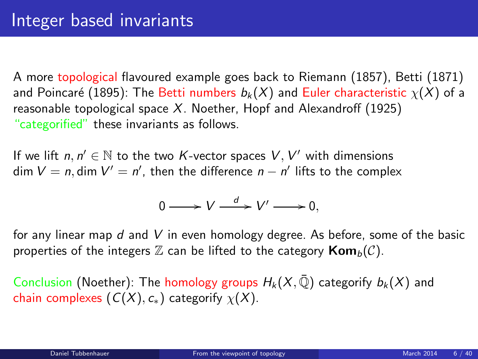A more topological flavoured example goes back to Riemann (1857), Betti (1871) and Poincaré (1895): The Betti numbers  $b_k(X)$  and Euler characteristic  $\chi(X)$  of a reasonable topological space  $X$ . Noether, Hopf and Alexandroff (1925) "categorified" these invariants as follows.

If we lift  $n, n' \in \mathbb{N}$  to the two K-vector spaces  $V, V'$  with dimensions dim  $V = n$ , dim  $V' = n'$ , then the difference  $n - n'$  lifts to the complex

<span id="page-5-0"></span>
$$
0 \longrightarrow V \stackrel{d}{\longrightarrow} V' \longrightarrow 0,
$$

for any linear map d and V in even homology degree. As before, some of the basic properties of the integers  $\mathbb Z$  can be lifted to the category  $\text{Kom}_b(\mathcal{C})$ .

Conclusion (Noether): The homology groups  $H_k(X, \overline{\mathbb{Q}})$  categorify  $b_k(X)$  and chain complexes  $(C(X), c_*)$  categorify  $\chi(X)$ .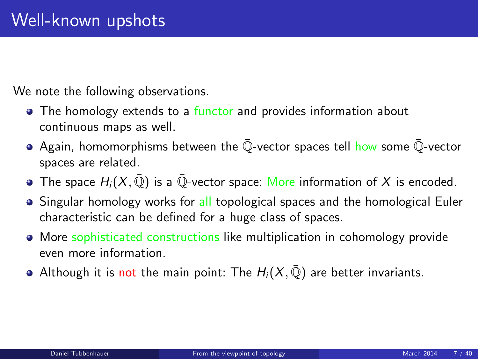We note the following observations.

- The homology extends to a functor and provides information about continuous maps as well.
- $\bullet$  Again, homomorphisms between the  $\overline{Q}$ -vector spaces tell how some  $\overline{Q}$ -vector spaces are related.
- The space  $H_i(X, \overline{\mathbb{Q}})$  is a  $\overline{\mathbb{Q}}$ -vector space: More information of X is encoded.
- Singular homology works for all topological spaces and the homological Euler characteristic can be defined for a huge class of spaces.
- More sophisticated constructions like multiplication in cohomology provide even more information.
- Although it is not the main point: The  $H_i(X, \overline{Q})$  are better invariants.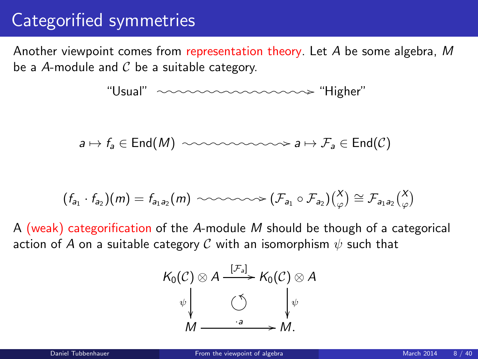## Categorified symmetries

Another viewpoint comes from representation theory. Let A be some algebra, M be a A-module and  $C$  be a suitable category.

"Usual" /o /o/o/o/o/o/o /o/o/o/o/o/o /o/o/o /"Higher"

$$
a \mapsto f_a \in \text{End}(M) \ \ \text{isomorphism} \ a \mapsto \mathcal{F}_a \in \text{End}(\mathcal{C})
$$

$$
(f_{a_1} \cdot f_{a_2})(m) = f_{a_1 a_2}(m) \sim \sim \sim \sim \sim (\mathcal{F}_{a_1} \circ \mathcal{F}_{a_2})(\begin{matrix} X \\ \varphi \end{matrix}) \cong \mathcal{F}_{a_1 a_2} \begin{pmatrix} X \\ \varphi \end{pmatrix}
$$

A (weak) categorification of the A-module M should be though of a categorical action of A on a suitable category C with an isomorphism  $\psi$  such that

<span id="page-7-0"></span>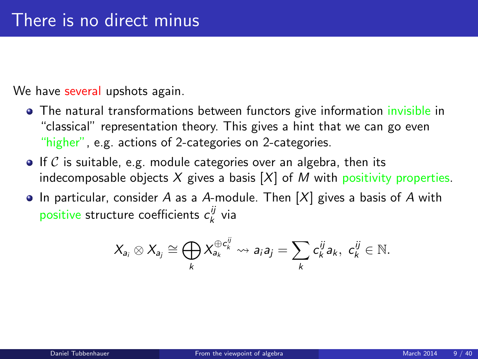We have several upshots again.

- The natural transformations between functors give information invisible in "classical" representation theory. This gives a hint that we can go even "higher", e.g. actions of 2-categories on 2-categories.
- $\bullet$  If C is suitable, e.g. module categories over an algebra, then its indecomposable objects  $X$  gives a basis  $[X]$  of M with positivity properties.
- In particular, consider A as a A-module. Then  $[X]$  gives a basis of A with positive structure coefficients  $c_k^{ij}$  via

$$
X_{a_i} \otimes X_{a_j} \cong \bigoplus_k X_{a_k}^{\oplus c_k^{\underline{i}}} \rightsquigarrow a_i a_j = \sum_k c_k^{\underline{i} \underline{j}} a_k, \ c_k^{\underline{i} \underline{j}} \in \mathbb{N}.
$$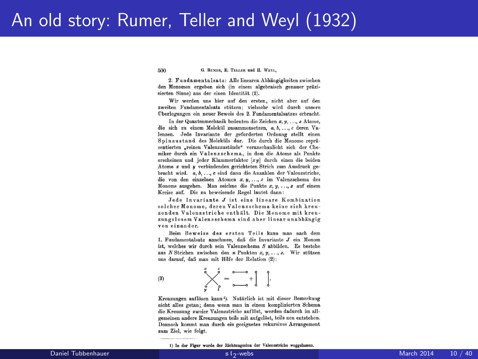### An old story: Rumer, Teller and Weyl (1932)

500 G. RUMER, E. TELLER und H. WEYL.

9. Enndamentalsatz: Alle linearen Abbängigkeiten zwischen den Monomen ergeben sich (in einem algebraisch genauer präzisierten Sinne) aus der einen Identität (2).

Wir werden uns hier auf den ersten, nicht aber auf den zweiten Fundamentalsatz stützen: vielmehr wird durch unsere Überlegungen ein neuer Beweis des 2. Fundamentalsatzes erbracht.

In der Quantenmechanik bedeuten die Zeichen x. u. ... z Atome. die sich zu einem Molekül zusammensetzen. a. b. ... c deren Valenzen. Jede Invariante der geforderten Ordnung stellt einen Spinzustand des Moleküls dar. Die durch die Monome repräsentierten .reinen Valenzzustände" veranschaulicht sich der Chemiker durch ein Valenzschema, in dem die Atome als Punkte erscheinen und jeder Klammerfaktor [xu] durch einen die beiden Atome x und y verbindenden gerichteten Strich zum Ausdruck gebracht wird. a, b, ..., c sind dann die Anzahlen der Valenzstriche, die von den einzelnen Atomen x. u. ... z im Valenzschema des Monoms ausgehen. Man zeichne die Punkte  $x, y, \ldots, z$  auf einem Kreise auf. Die zu beweisende Regel lautet dann:

Jede Invariante J ist eine lineare Kombination solcher Monome, deren Valenzschema keine sich kreuzenden Valenzstriche enthält. Die Monome mit kreuzungslosem Valenzschema sind aber linear unabhängig von einander.

Beim Beweise des ersten Teils kann man nach dem 1. Fundamentalsatz annehmen, daß die Invariante J ein Monom ist, welches wir durch sein Valenzschema S abbilden. Es bestehe aus N Strichen zwischen den n Punkten x, y, ..., z. Wir stützen uns darauf, daß man mit Hilfe der Relation (2):

$$
B) \qquad \qquad \overset{x}{\underset{g}{\bigvee}} \overset{f}{\underset{g}{\bigvee}} = \overset{a}{\underset{a \longrightarrow a}{\xrightarrow{a}}} + \begin{bmatrix} 1 \\ 0 \end{bmatrix}.
$$

 $\theta$ 

Kreuzungen auflösen kann<sup>1</sup>). Natürlich ist mit dieser Bemerkung nicht alles getan; denn wenn man in einem komplizierten Schema die Kreuzung zweier Valenzstriche auflöst, werden dadurch im allgemeinen andere Kreuzungen teils mit aufgelöst, teils neu entstehen. Dennoch kommt man durch ein geeignetes rekursives Arrangement zum Ziel, wie folgt.

<span id="page-9-0"></span>

<sup>1)</sup> In der Figur wurde der Richtungssinn der Valenzstriche weggelassen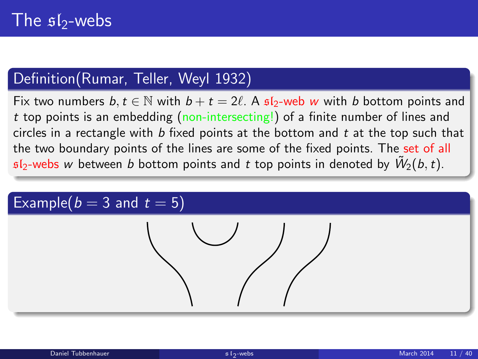### Definition(Rumar, Teller, Weyl 1932)

Fix two numbers  $b, t \in \mathbb{N}$  with  $b + t = 2\ell$ . A  $\mathfrak{sl}_2$ -web w with b bottom points and t top points is an embedding (non-intersecting!) of a finite number of lines and circles in a rectangle with  $b$  fixed points at the bottom and  $t$  at the top such that the two boundary points of the lines are some of the fixed points. The set of all  $\mathfrak{sl}_2$ -webs  $w$  between  $b$  bottom points and  $t$  top points in denoted by  $\tilde{W}_2(b,t)$ .

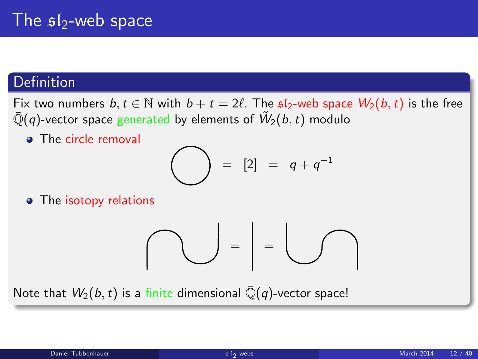### Definition

Fix two numbers  $b, t \in \mathbb{N}$  with  $b + t = 2\ell$ . The  $\mathfrak{sl}_2$ -web space  $W_2(b, t)$  is the free  $\bar{\mathbb{Q}}(q)$ -vector space generated by elements of  $\tilde{W}_2(b,t)$  modulo

• The circle removal

$$
\bigodot = [2] = q+q^{-1}
$$

• The isotopy relations

$$
\bigcap_{i=1}^n \mathbb{Z}_p = \bigcup_{i=1}^n \mathbb{Z}_p
$$

Note that  $W_2(b, t)$  is a finite dimensional  $\overline{\mathbb{Q}}(q)$ -vector space!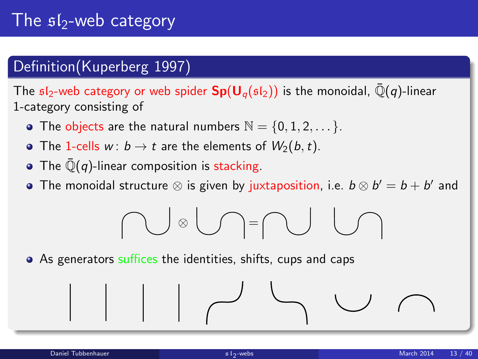## The  $$I_2$ -web category

### Definition(Kuperberg 1997)

The  $sI_2$ -web category or web spider  $Sp(U_\alpha(sI_2))$  is the monoidal,  $\overline{Q}(q)$ -linear 1-category consisting of

- The objects are the natural numbers  $\mathbb{N} = \{0, 1, 2, \dots\}$ .
- The 1-cells  $w: b \to t$  are the elements of  $W_2(b, t)$ .
- The  $\overline{\mathbb{Q}}(q)$ -linear composition is stacking.
- The monoidal structure  $\otimes$  is given by juxtaposition, i.e.  $b \otimes b' = b + b'$  and

$$
\bigcap\mathbb{C}\otimes\bigcup\mathbb{C}=\bigcap\mathbb{C}\cup\bigcap
$$

• As generators suffices the identities, shifts, cups and caps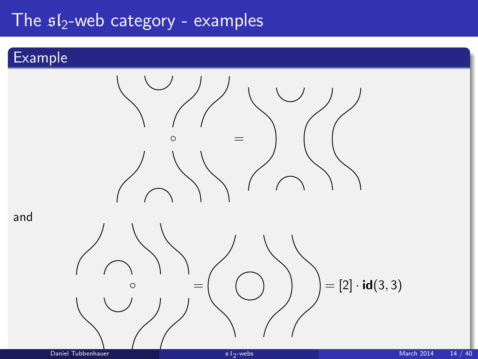## The  $sI_2$ -web category - examples

### Example

and

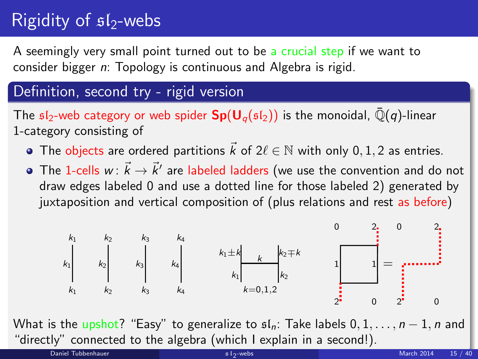# Rigidity of  $sI_2$ -webs

A seemingly very small point turned out to be a crucial step if we want to consider bigger n: Topology is continuous and Algebra is rigid.

### Definition, second try - rigid version

The  $\mathfrak{sl}_2$ -web category or web spider  $\mathbf{Sp}(\mathbf{U}_q(\mathfrak{sl}_2))$  is the monoidal,  $\bar{\mathbb{Q}}(q)$ -linear 1-category consisting of

- The objects are ordered partitions  $\vec{k}$  of  $2\ell \in \mathbb{N}$  with only 0, 1, 2 as entries.
- The 1-cells  $w\colon \vec{k}\to \vec{k}'$  are labeled ladders (we use the convention and do not draw edges labeled 0 and use a dotted line for those labeled 2) generated by juxtaposition and vertical composition of (plus relations and rest as before)

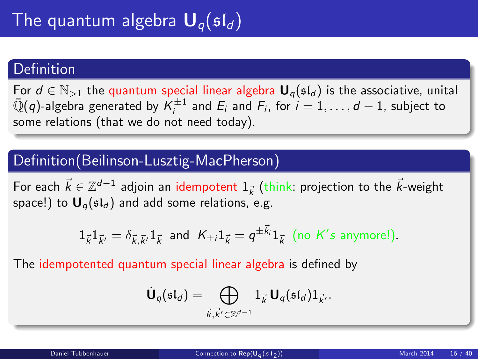#### **Definition**

For  $d \in \mathbb{N}_{>1}$  the quantum special linear algebra  $\mathbf{U}_q(\mathfrak{sl}_d)$  is the associative, unital  $\bar{\mathbb{Q}}(q)$ -algebra generated by  $\mathcal{K}_i^{\pm 1}$  and  $E_i$  and  $F_i$ , for  $i = 1, \ldots, d-1$ , subject to some relations (that we do not need today).

### Definition(Beilinson-Lusztig-MacPherson)

For each  $\vec{k} \in \mathbb{Z}^{d-1}$  adjoin an idempotent  $1_{\vec{k}}$  (think: projection to the  $\vec{k}$ -weight space!) to  $U_q(\mathfrak{sl}_d)$  and add some relations, e.g.

$$
1_{\vec{k}}1_{\vec{k}'}=\delta_{\vec{k},\vec{k}'}1_{\vec{k}} \text{ and } K_{\pm i}1_{\vec{k}}=q^{\pm \vec{k}_i}1_{\vec{k}} \text{ (no } K's \text{ anymore!).}
$$

The idempotented quantum special linear algebra is defined by

<span id="page-15-0"></span>
$$
\dot{\mathbf{U}}_q(\mathfrak{sl}_d)=\bigoplus_{\vec{k},\vec{k'}\in\mathbb{Z}^{d-1}}1_{\vec{k}}\,\mathbf{U}_q(\mathfrak{sl}_d)1_{\vec{k'}}.
$$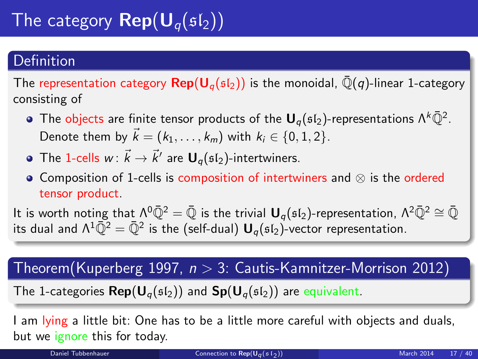# The category  $\mathbf{Rep}(\mathbf{U}_q(\mathfrak{sl}_2))$

### Definition

The representation category  $\text{Rep}(\mathsf{U}_{q}(\mathfrak{sl}_{2}))$  is the monoidal,  $\overline{\mathbb{Q}}(q)$ -linear 1-category consisting of

- The objects are finite tensor products of the  ${\bm \mathsf U}_q(\mathfrak{sl}_2)$ -representations  $\Lambda^k\bar{\mathbb Q}^2$ . Denote them by  $\vec{k} = (k_1, \ldots, k_m)$  with  $k_i \in \{0, 1, 2\}$ .
- The 1-cells  $w\colon \vec{k}\to \vec{k}'$  are  $\mathbf{U}_q(\mathfrak{sl}_2)$ -intertwiners.
- Composition of 1-cells is composition of intertwiners and ⊗ is the ordered tensor product.

It is worth noting that  $\Lambda^0\bar{Q}^2 = \bar{Q}$  is the trivial  $U_q(sI_2)$ -representation,  $\Lambda^2\bar{Q}^2 \cong \bar{Q}$ its dual and  $\Lambda^1\bar{\mathbb Q}^2=\bar{\mathbb Q}^2$  is the (self-dual)  ${\mathbf U}_q(\mathfrak{sl}_2)$ -vector representation.

### $Theorem (Kuperberg 1997, n > 3: Cautis-Kamnitzer-Morrison 2012)$

The 1-categories  $\mathsf{Rep}(\mathsf{U}_{q}(\mathfrak{sl}_2))$  and  $\mathsf{Sp}(\mathsf{U}_{q}(\mathfrak{sl}_2))$  are equivalent.

I am lying a little bit: One has to be a little more careful with objects and duals, but we ignore this for today.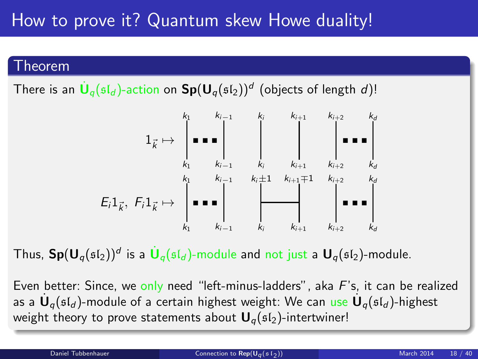## How to prove it? Quantum skew Howe duality!

#### Theorem

There is an  $\dot{\textbf U}_q(\mathfrak{sl}_d)$ -action on  $\textbf{Sp}(\textbf U_q(\mathfrak{sl}_2))^d$  (objects of length  $d)!$ 



Thus,  $\mathbf{Sp}(\mathsf{U}_q(\mathfrak{sl}_2))^d$  is a  $\dot{\mathsf{U}}_q(\mathfrak{sl}_d)$ -module and not just a  $\mathsf{U}_q(\mathfrak{sl}_2)$ -module.

Even better: Since, we only need "left-minus-ladders", aka  $F$ 's, it can be realized as a  $\dot{\mathsf{U}}_q(\mathfrak{sl}_d)$ -module of a certain highest weight: We can use  $\dot{\mathsf{U}}_q(\mathfrak{sl}_d)$ -highest weight theory to prove statements about  $U_q(sI_2)$ -intertwiner!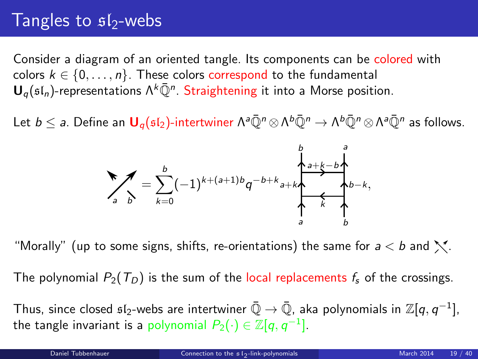## Tangles to  $s1$ -webs

Consider a diagram of an oriented tangle. Its components can be colored with colors  $k \in \{0, \ldots, n\}$ . These colors correspond to the fundamental  ${\mathsf U}_q(\mathfrak{sl}_n)$ -representations  $\Lambda^k\bar{\mathbb Q}^n$ . Straightening it into a Morse position.

Let  $b\leq$   $a$ . Define an  $\bm{\mathsf{U}}_q(\mathfrak{sl}_2)$ -intertwiner  $\Lambda^a\bar{\mathbb{Q}}^n\otimes\Lambda^b\bar{\mathbb{Q}}^n\to\Lambda^b\bar{\mathbb{Q}}^n\otimes\Lambda^a\bar{\mathbb{Q}}^n$  as follows.

<span id="page-18-0"></span>

"Morally" (up to some signs, shifts, re-orientations) the same for  $a < b$  and  $\mathbb{N}$ .

The polynomial  $P_2(T_D)$  is the sum of the local replacements  $f_s$  of the crossings.

Thus, since closed  $\mathfrak{sl}_2$ -webs are intertwiner  $\bar{\mathbb{Q}}\to\bar{\mathbb{Q}}$ , aka polynomials in  $\mathbb{Z}[q,q^{-1}]$ , the tangle invariant is a polynomial  $P_2(\cdot) \in \mathbb{Z}[q,q^{-1}].$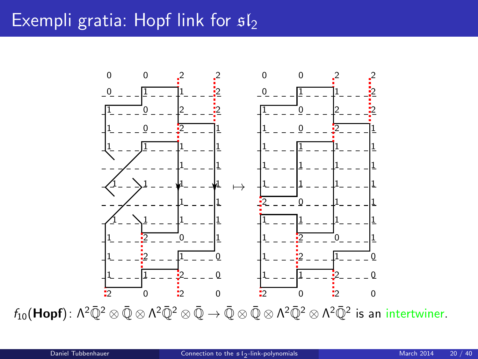## Exempli gratia: Hopf link for  $sI_2$



 $f_{10}(\mathsf{Hopf})$ :  $\Lambda^2\bar{\mathbb{Q}}^2\otimes \bar{\mathbb{Q}}\otimes \Lambda^2\bar{\mathbb{Q}}^2\otimes \bar{\mathbb{Q}}\to \bar{\mathbb{Q}}\otimes \bar{\mathbb{Q}}\otimes \Lambda^2\bar{\mathbb{Q}}^2\otimes \Lambda^2\bar{\mathbb{Q}}^2$  is an intertwiner.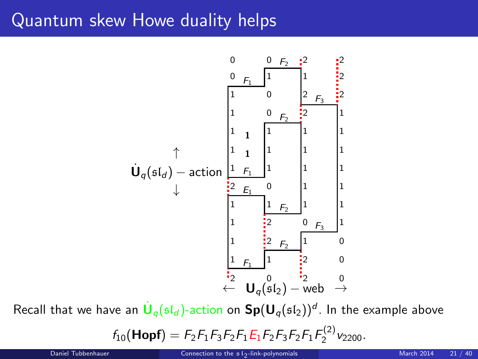## Quantum skew Howe duality helps



Recall that we have an  $\dot{\textbf U}_q(\mathfrak{sl}_d)$ -action on  $\textbf{Sp}(\textbf U_q(\mathfrak{sl}_2))^d$ . In the example above

$$
f_{10}(\text{Hopf}) = F_2F_1F_3F_2F_1E_1F_2F_3F_2F_1F_2^{(2)}\nu_{2200}.
$$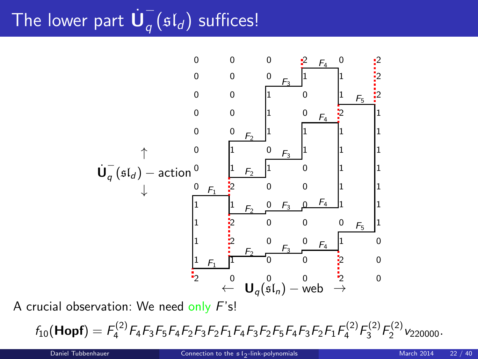#### The lower part  $\dot{\mathsf{U}}_q^ \frac{1}{q}(\mathfrak{sl}_d)$  suffices!



A crucial observation: We need only F's!

 $f_{10}$ (Hopf) =  $F_4^{(2)}F_4F_3F_5F_4F_2F_3F_2F_1F_4F_3F_2F_5F_4F_3F_2F_1F_4^{(2)}F_3^{(2)}F_2^{(2)}v_{220000}$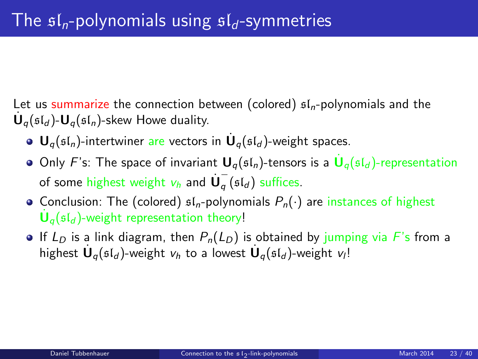Let us summarize the connection between (colored)  $f_n$ -polynomials and the  $\dot{\mathbf{U}}_q(\mathfrak{sl}_d)$ - $\mathbf{U}_q(\mathfrak{sl}_n)$ -skew Howe duality.

- ${\mathbf U}_q(\mathfrak{sl}_n)$ -intertwiner are vectors in  $\dot{{\mathbf U}}_q(\mathfrak{sl}_d)$ -weight spaces.
- Only F's: The space of invariant  $\mathbf{U}_q(\mathfrak{sl}_n)$ -tensors is a  $\dot{\mathbf{U}}_q(\mathfrak{sl}_d)$ -representation of some highest weight  $v_h$  and  $\dot{\mathsf{U}}_q^ \frac{1}{q}$  (sl<sub>d</sub>) suffices.
- Conclusion: The (colored)  $\mathfrak{sl}_n$ -polynomials  $P_n(\cdot)$  are instances of highest  $\dot{\mathsf{U}}_q(\mathfrak{sl}_d)$ -weight representation theory!
- **If**  $L_D$  is a link diagram, then  $P_n(L_D)$  is obtained by jumping via F's from a highest  $\dot{\mathbf U}_q(\mathfrak{sl}_d)$ -weight  $v_h$  to a lowest  $\dot{\mathbf U}_q(\mathfrak{sl}_d)$ -weight  $v_l!$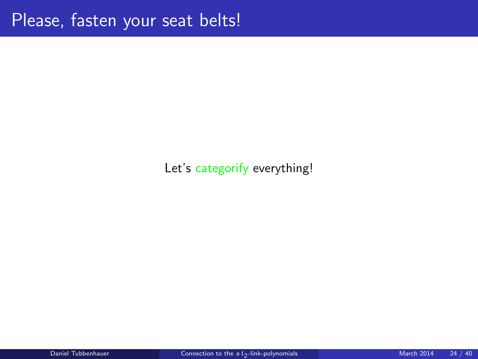### Let's categorify everything!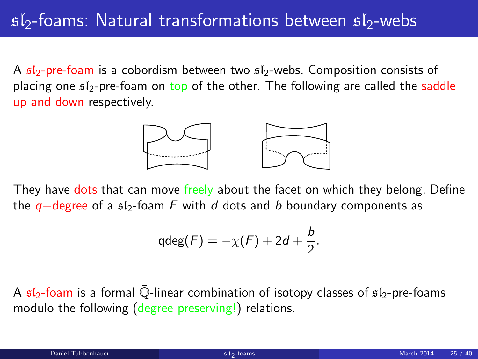## $s/2$ -foams: Natural transformations between  $s/2$ -webs

A  $sI_2$ -pre-foam is a cobordism between two  $sI_2$ -webs. Composition consists of placing one  $f_2$ -pre-foam on top of the other. The following are called the saddle up and down respectively.



They have dots that can move freely about the facet on which they belong. Define the  $q$ −degree of a  $f_2$ -foam F with d dots and b boundary components as

<span id="page-24-0"></span>
$$
\mathrm{qdeg}(F)=-\chi(F)+2d+\frac{b}{2}.
$$

A  $sI_2$ -foam is a formal  $\overline{Q}$ -linear combination of isotopy classes of  $sI_2$ -pre-foams modulo the following (degree preserving!) relations.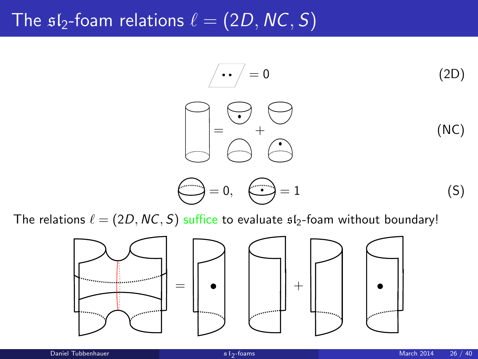## The  $sI_2$ -foam relations  $\ell = (2D, NC, S)$

$$
\begin{array}{ccc}\n\overline{\phantom{0}} & \overline{\phantom{0}} & \overline{\phantom{0}} & \overline{\phantom{0}} \\
\overline{\phantom{0}} & \overline{\phantom{0}} & \overline{\phantom{0}} & \overline{\phantom{0}} \\
\overline{\phantom{0}} & \overline{\phantom{0}} & \overline{\phantom{0}} & \overline{\phantom{0}} \\
\overline{\phantom{0}} & \overline{\phantom{0}} & \overline{\phantom{0}} & \overline{\phantom{0}} \\
\overline{\phantom{0}} & \overline{\phantom{0}} & \overline{\phantom{0}} & \overline{\phantom{0}} \\
\overline{\phantom{0}} & \overline{\phantom{0}} & \overline{\phantom{0}} & \overline{\phantom{0}} \\
\overline{\phantom{0}} & \overline{\phantom{0}} & \overline{\phantom{0}} & \overline{\phantom{0}} & \overline{\phantom{0}} \\
\overline{\phantom{0}} & \overline{\phantom{0}} & \overline{\phantom{0}} & \overline{\phantom{0}} & \overline{\phantom{0}} \\
\overline{\phantom{0}} & \overline{\phantom{0}} & \overline{\phantom{0}} & \overline{\phantom{0}} & \overline{\phantom{0}} & \overline{\phantom{0}} \\
\overline{\phantom{0}} & \overline{\phantom{0}} & \overline{\phantom{0}} & \overline{\phantom{0}} & \overline{\phantom{0}} & \overline{\phantom{0}} \\
\overline{\phantom{0}} & \overline{\phantom{0}} & \overline{\phantom{0}} & \overline{\phantom{0}} & \overline{\phantom{0}} & \overline{\phantom{0}} & \overline{\phantom{0}} \\
\overline{\phantom{0}} & \overline{\phantom{0}} & \overline{\phantom{0}} & \overline{\phantom{0}} & \overline{\phantom{0}} & \overline{\phantom{0}} & \overline{\phantom{0}} & \overline{\phantom{0}} & \overline{\phantom{0}} & \overline{\phantom{0}} & \overline{\phantom{0}} & \overline{\phantom{0}} & \overline{\phantom{0}} & \overline{\phantom{0}} & \overline{\phantom{0}} & \overline{\phantom{0}} & \overline{\phantom{0}} & \overline{\phantom{0}} & \overline{\phantom{0}} & \overline{\phantom{0}} & \overline{\phantom{0}} & \overline{\phantom{0}} & \over
$$

The relations  $\ell = (2D, NC, S)$  suffice to evaluate  $sI_2$ -foam without boundary!

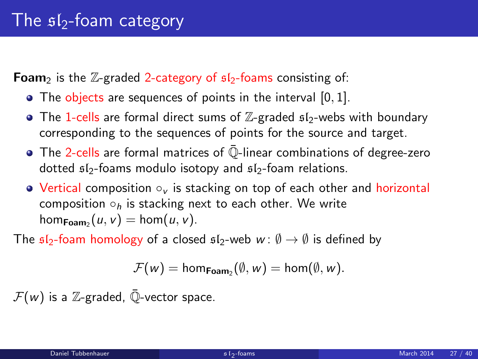**Foam**<sub>2</sub> is the  $\mathbb{Z}$ -graded 2-category of  $s/2$ -foams consisting of:

- The objects are sequences of points in the interval [0, 1].
- The 1-cells are formal direct sums of  $\mathbb{Z}$ -graded  $\mathfrak{sl}_2$ -webs with boundary corresponding to the sequences of points for the source and target.
- $\bullet$  The 2-cells are formal matrices of  $\overline{\mathbb{Q}}$ -linear combinations of degree-zero dotted  $sI_2$ -foams modulo isotopy and  $sI_2$ -foam relations.
- Vertical composition ○<sub>v</sub> is stacking on top of each other and horizontal composition  $\circ_h$  is stacking next to each other. We write  $\hom_{\mathsf{Foam}_2}(u, v) = \hom(u, v).$

The  $\mathfrak{sl}_2$ -foam homology of a closed  $\mathfrak{sl}_2$ -web  $w : \emptyset \to \emptyset$  is defined by

$$
\mathcal{F}(w) = \text{hom}_{\text{Foam}_2}(\emptyset, w) = \text{hom}(\emptyset, w).
$$

 $\mathcal{F}(w)$  is a Z-graded,  $\overline{\mathbb{Q}}$ -vector space.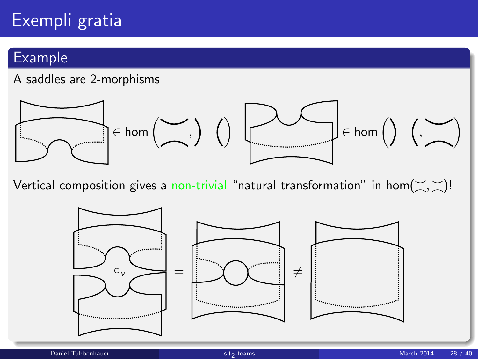# Exempli gratia

### Example

#### A saddles are 2-morphisms



Vertical composition gives a non-trivial "natural transformation" in hom $(\leq, \leq)!$ 

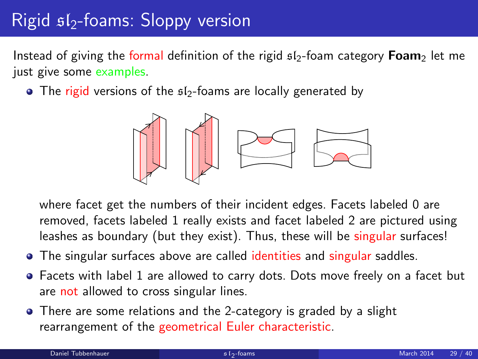# $Right$  s<sub> $1$ </sub>-foams: Sloppy version

Instead of giving the formal definition of the rigid  $sI_2$ -foam category **Foam**<sub>2</sub> let me just give some examples.

 $\bullet$  The rigid versions of the  $512$ -foams are locally generated by



where facet get the numbers of their incident edges. Facets labeled 0 are removed, facets labeled 1 really exists and facet labeled 2 are pictured using leashes as boundary (but they exist). Thus, these will be singular surfaces!

- The singular surfaces above are called identities and singular saddles.
- Facets with label 1 are allowed to carry dots. Dots move freely on a facet but are not allowed to cross singular lines.
- There are some relations and the 2-category is graded by a slight rearrangement of the geometrical Euler characteristic.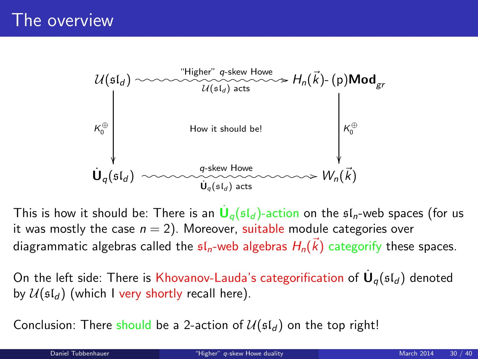

This is how it should be: There is an  $\dot{\textbf U}_q(\mathfrak{sl}_d)$ -action on the  $\mathfrak{sl}_n$ -web spaces (for us it was mostly the case  $n = 2$ ). Moreover, suitable module categories over diagrammatic algebras called the  $\mathfrak{sl}_n$ -web algebras  $H_n(\vec{k})$  categorify these spaces.

On the left side: There is Khovanov-Lauda's categorification of  $\dot{\mathsf{U}}_q(\mathfrak{sl}_d)$  denoted by  $\mathcal{U}(\mathfrak{sl}_d)$  (which I very shortly recall here).

<span id="page-29-0"></span>Conclusion: There should be a 2-action of  $\mathcal{U}(\mathfrak{sl}_d)$  on the top right!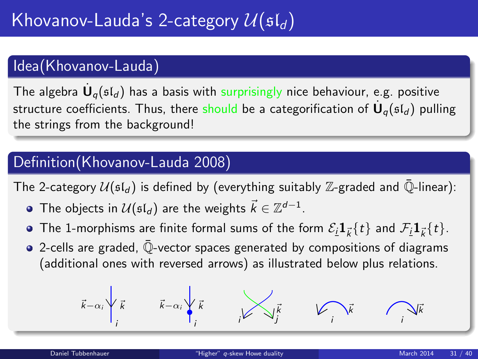### Idea(Khovanov-Lauda)

The algebra  $\dot{\mathsf{U}}_q(\mathfrak{sl}_d)$  has a basis with surprisingly nice behaviour, e.g. positive structure coefficients. Thus, there should be a categorification of  $\dot{\mathsf{U}}_q(\mathfrak{sl}_d)$  pulling the strings from the background!

### Definition(Khovanov-Lauda 2008)

The 2-category  $U(\mathfrak{sl}_d)$  is defined by (everything suitably Z-graded and  $\overline{\mathbb{Q}}$ -linear):

- The objects in  $\mathcal{U}(\mathfrak{sl}_d)$  are the weights  $\vec{k} \in \mathbb{Z}^{d-1}.$
- The 1-morphisms are finite formal sums of the form  $\mathcal{E}_{\bm i} \bm 1_{\vec k} \{ t \}$  and  $\mathcal{F}_{\bm i} \bm 1_{\vec k} \{ t \}.$
- 2-cells are graded, Q-vector spaces generated by compositions of diagrams (additional ones with reversed arrows) as illustrated below plus relations.

$$
\vec{k}-\alpha_i\sqrt{\vec{k}}\qquad \vec{k}-\alpha_i\sqrt{\vec{k}}\qquad \qquad \overrightarrow{k}
$$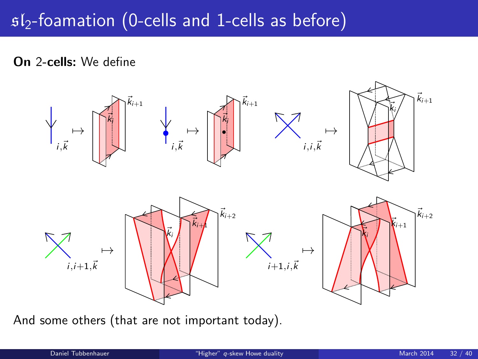## $s1<sub>2</sub>$ -foamation (0-cells and 1-cells as before)

On 2-cells: We define



And some others (that are not important today).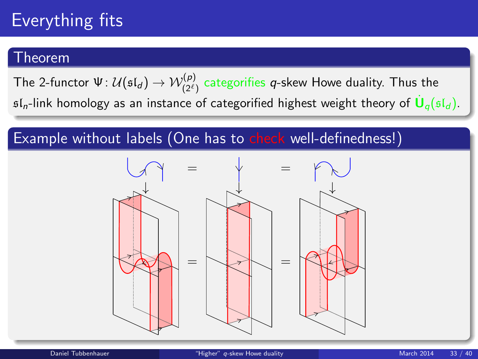# Everything fits

#### Theorem

The 2-functor  $\Psi\colon\mathcal{U}(\mathfrak{sl}_d)\to\mathcal{W}^{(\bm{\rho})}_{(2^\ell)}$  categorifies  $\bm{q}$ -skew Howe duality. Thus the  $\mathfrak{sl}_n$ -link homology as an instance of categorified highest weight theory of  $\dot{\mathsf{U}}_q(\mathfrak{sl}_d)$ .

### Example without labels (One has to check well-definedness!)

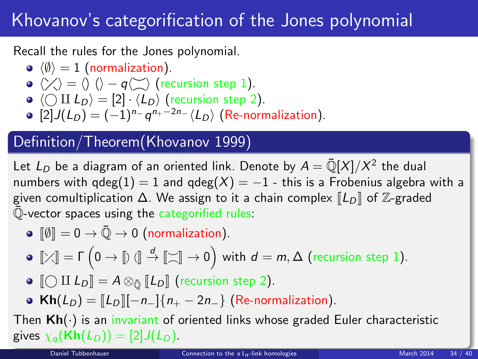## Khovanov's categorification of the Jones polynomial

Recall the rules for the Jones polynomial.

- $\langle \emptyset \rangle = 1$  (normalization).
- $\langle \rangle \langle \rangle = \langle \rangle$   $\langle \rangle q \langle \rangle \rangle$  (recursion step 1).
- $\bullet \langle \bigcirc \amalg L_D \rangle = [2] \cdot \langle L_D \rangle$  (recursion step 2).
- $[2]J(L_D) = (-1)^{n_{-}} q^{n_{+}-2n_{-}} \langle L_D \rangle$  (Re-normalization).

### Definition/Theorem(Khovanov 1999)

Let  $L_D$  be a diagram of an oriented link. Denote by  $A = \bar{\mathbb{Q}}[X]/X^2$  the dual numbers with  $qdeg(1) = 1$  and  $qdeg(X) = -1$  - this is a Frobenius algebra with a given comultiplication  $\Delta$ . We assign to it a chain complex  $\llbracket L_D \rrbracket$  of  $\mathbb{Z}$ -graded  $\overline{\mathbb{Q}}$ -vector spaces using the categorified rules:

 $\bullet$   $\lbrack \emptyset \rbrack = 0 \rightarrow \bar{\mathbb{Q}} \rightarrow 0$  (normalization).

$$
\bullet\ \llbracket\text{\footnotesize{\times}}\rrbracket=\Gamma\left(0\rightarrow\llbracket\text{\footnotesize{\textbackslash}}\rrbracket\stackrel{d}{\rightarrow}\llbracket\text{\footnotesize{\textbackslash}}\rrbracket\rightarrow 0\right)\text{ with }d=m,\Delta\text{ (recursion step 1)}.
$$

- $\bigcirc$   $\bigcirc$  II  $L_D$  =  $A \otimes_{\overline{O}} [L_D]$  (recursion step 2).
- <span id="page-33-0"></span>• Kh( $L_D$ ) =  $\llbracket L_D \rrbracket [-n_{-}]$  { $n_{+} - 2n_{-}$ } (Re-normalization).

Then  $Kh(\cdot)$  is an invariant of oriented links whose graded Euler characteristic gives  $\chi_q(\mathbf{Kh}(L_D)) = [2]J(L_D)$ .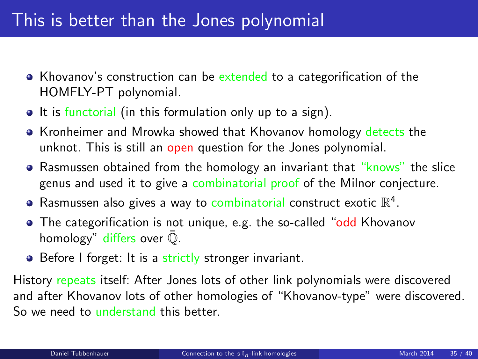## This is better than the Jones polynomial

- Khovanov's construction can be extended to a categorification of the HOMFLY-PT polynomial.
- It is functorial (in this formulation only up to a sign).
- Kronheimer and Mrowka showed that Khovanov homology detects the unknot. This is still an open question for the Jones polynomial.
- Rasmussen obtained from the homology an invariant that "knows" the slice genus and used it to give a combinatorial proof of the Milnor conjecture.
- Rasmussen also gives a way to combinatorial construct exotic  $\mathbb{R}^4$ .
- The categorification is not unique, e.g. the so-called "odd Khovanov homology" differs over  $\overline{Q}$ .
- Before I forget: It is a strictly stronger invariant.

History repeats itself: After Jones lots of other link polynomials were discovered and after Khovanov lots of other homologies of "Khovanov-type" were discovered. So we need to understand this better.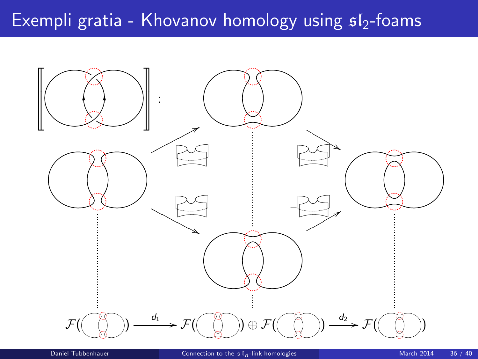## Exempli gratia - Khovanov homology using  $s_1/2$ -foams

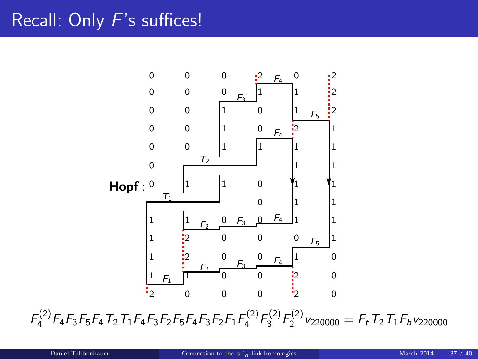## Recall: Only F's suffices!



 $F_4^{(2)}F_4F_3F_5F_4T_2T_1F_4F_3F_2F_5F_4F_3F_2F_1F_4^{(2)}F_3^{(2)}F_2^{(2)}\nu_{220000} = F_tT_2T_1F_b\nu_{220000}$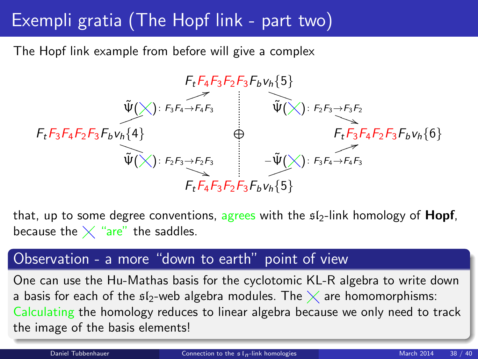## Exempli gratia (The Hopf link - part two)

The Hopf link example from before will give a complex



that, up to some degree conventions, agrees with the  $s/2$ -link homology of **Hopf**, because the  $\times$  "are" the saddles.

#### Observation - a more "down to earth" point of view

One can use the Hu-Mathas basis for the cyclotomic KL-R algebra to write down a basis for each of the  $\mathfrak{sl}_2$ -web algebra modules. The  $\times$  are homomorphisms: Calculating the homology reduces to linear algebra because we only need to track the image of the basis elements!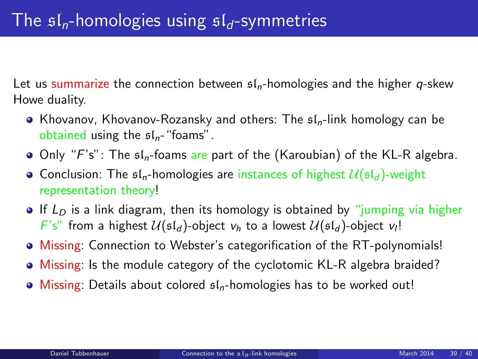Let us summarize the connection between  $f_n$ -homologies and the higher q-skew Howe duality.

- Khovanov, Khovanov-Rozansky and others: The  $\mathfrak{sl}_n$ -link homology can be obtained using the  $sI_n$ -"foams".
- Only "F's": The  $sI_n$ -foams are part of the (Karoubian) of the KL-R algebra.
- Conclusion: The  $sI_n$ -homologies are instances of highest  $\mathcal{U}(sI_d)$ -weight representation theory!
- If  $L<sub>D</sub>$  is a link diagram, then its homology is obtained by "jumping via higher  $F's''$  from a highest  $\mathcal{U}(\mathfrak{sl}_d)$ -object  $v_h$  to a lowest  $\mathcal{U}(\mathfrak{sl}_d)$ -object  $v_l!$
- Missing: Connection to Webster's categorification of the RT-polynomials!
- Missing: Is the module category of the cyclotomic KL-R algebra braided?
- $\bullet$  Missing: Details about colored  $\mathfrak{sl}_n$ -homologies has to be worked out!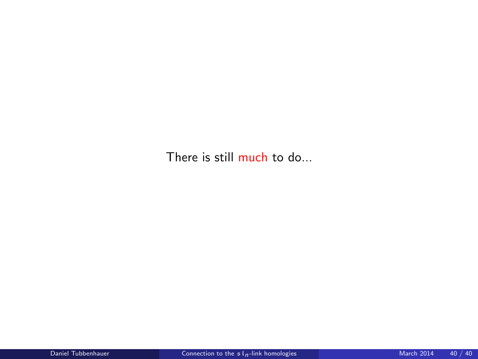There is still much to do...